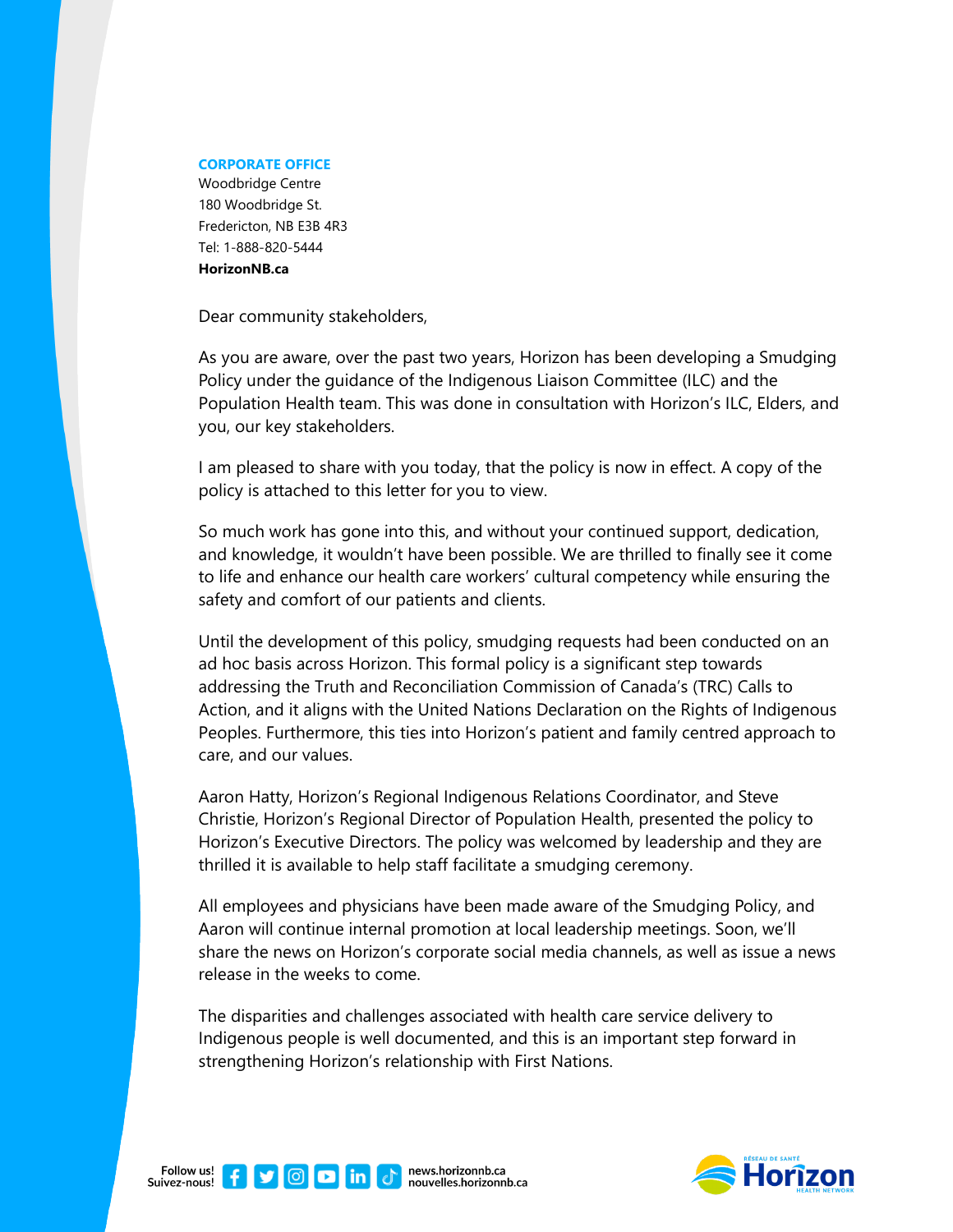## **CORPORATE OFFICE**

Woodbridge Centre 180 Woodbridge St. Fredericton, NB E3B 4R3 Tel: 1-888-820-5444 **HorizonNB.ca**

Dear community stakeholders,

As you are aware, over the past two years, Horizon has been developing a Smudging Policy under the guidance of the Indigenous Liaison Committee (ILC) and the Population Health team. This was done in consultation with Horizon's ILC, Elders, and you, our key stakeholders.

I am pleased to share with you today, that the policy is now in effect. A copy of the policy is attached to this letter for you to view.

So much work has gone into this, and without your continued support, dedication, and knowledge, it wouldn't have been possible. We are thrilled to finally see it come to life and enhance our health care workers' cultural competency while ensuring the safety and comfort of our patients and clients.

Until the development of this policy, smudging requests had been conducted on an ad hoc basis across Horizon. This formal policy is a significant step towards addressing the Truth and Reconciliation Commission of Canada's (TRC) Calls to Action, and it aligns with the United Nations Declaration on the Rights of Indigenous Peoples. Furthermore, this ties into Horizon's patient and family centred approach to care, and our values.

Aaron Hatty, Horizon's Regional Indigenous Relations Coordinator, and Steve Christie, Horizon's Regional Director of Population Health, presented the policy to Horizon's Executive Directors. The policy was welcomed by leadership and they are thrilled it is available to help staff facilitate a smudging ceremony.

All employees and physicians have been made aware of the Smudging Policy, and Aaron will continue internal promotion at local leadership meetings. Soon, we'll share the news on Horizon's corporate social media channels, as well as issue a news release in the weeks to come.

The disparities and challenges associated with health care service delivery to Indigenous people is well documented, and this is an important step forward in strengthening Horizon's relationship with First Nations.